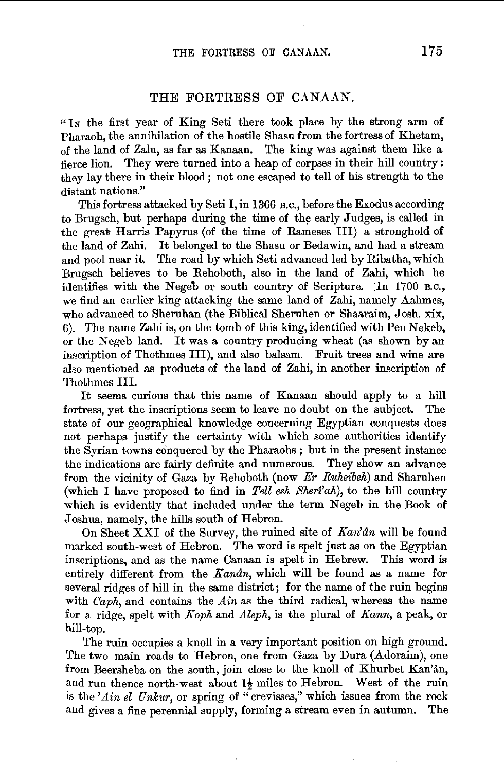## THE FORTRESS OF CANAAN.

"In the first year of King Seti there took place by the strong arm of Pharaoh, the annihilation of the hostile Shasu from the fortress of Khetam, of the land of Zalu, as far as Kanaan. The king was against them like a fierce lion. They were turned into a heap of corpses in their hill country : they lay there in their blood; not one escaped to tell of his strength to the distant nations."

This fortress attacked by Seti I, in 1366 B.o., before the Exodus according to Brugsch, but perhaps during the time of the early Judges, is called in the great Harris Papyrus (of the time of Rameses III) a stronghold of the land of Zahi. It belonged to the Shasu or Bedawin, and had a stream and pool near it. The road by which Seti advanced led by Ribatha, which Brugsch believes to be Rehoboth, also in the land of Zahi, which he identifies with the Negeb or south country of Scripture. In 1700 B.C., we find an earlier king attacking the same land of Zahi, namely Aahmes, who advanced to Sheruhan (the Biblical Sheruhen or Shaaraim, Josh. xix, 6). The name Zahi is, on the tomb of this king, identified with Pen Nekeb, or the Negeb land. It was a country producing wheat (as shown by an inscription of Thothmes Ill), and also balsam. Fruit trees and wine are also mentioned as products of the land of Zahi, in another inscription of Thothmes Ill.

It seems curious that this name of Kanaan should apply to a hill fortress, yet the inscriptions seem to leave no doubt on the subject. The state of our geographical knowledge concerning Egyptian conquests does not perhaps justify the certainty with which some authorities identify the Syrian towns conquered by the Pharaohs ; but in the present instance the indications are fairly definite and numerous. They show an advance from the vicinity of Gaza by Rehoboth (now *Er Ruheibeh)* and Sharuhen (which I have proposed to find in *Tell esh Sheri'ah),* to the hill country which is evidently that included under the term Negeb in the Book of Joshua, namely, the hills south of Hebron.

On Sheet XXI of the Survey, the ruined site of *Kan'dn* will be found marked south-west of Hebron. The word is spelt just as on the Egyptian inscriptions, and as the name Canaan is spelt in Hebrew. This word is entirely different from the *Kandn,* which will be found as a name for several ridges of hill in the same district; for the name of the ruin begins with  $Caph$ , and contains the  $A$ *in* as the third radical, whereas the name for a ridge, spelt with *Koph* and *Aleph,* is the plural of *Kann,* a peak, or hill-top.

The ruin occupies a knoll in a very important position on high ground. The two main roads to Hebron, one from Gaza by Dura (Adoraim), one from Beersheba on the south, join close to the knoll of Khurbet Kan'an, and run thence north-west about  $1\frac{1}{2}$  miles to Hebron. West of the ruin is the 'Ain el Unkur, or spring of "crevisses," which issues from the rock and gives a fine perennial supply, forming a stream even in autumn. The